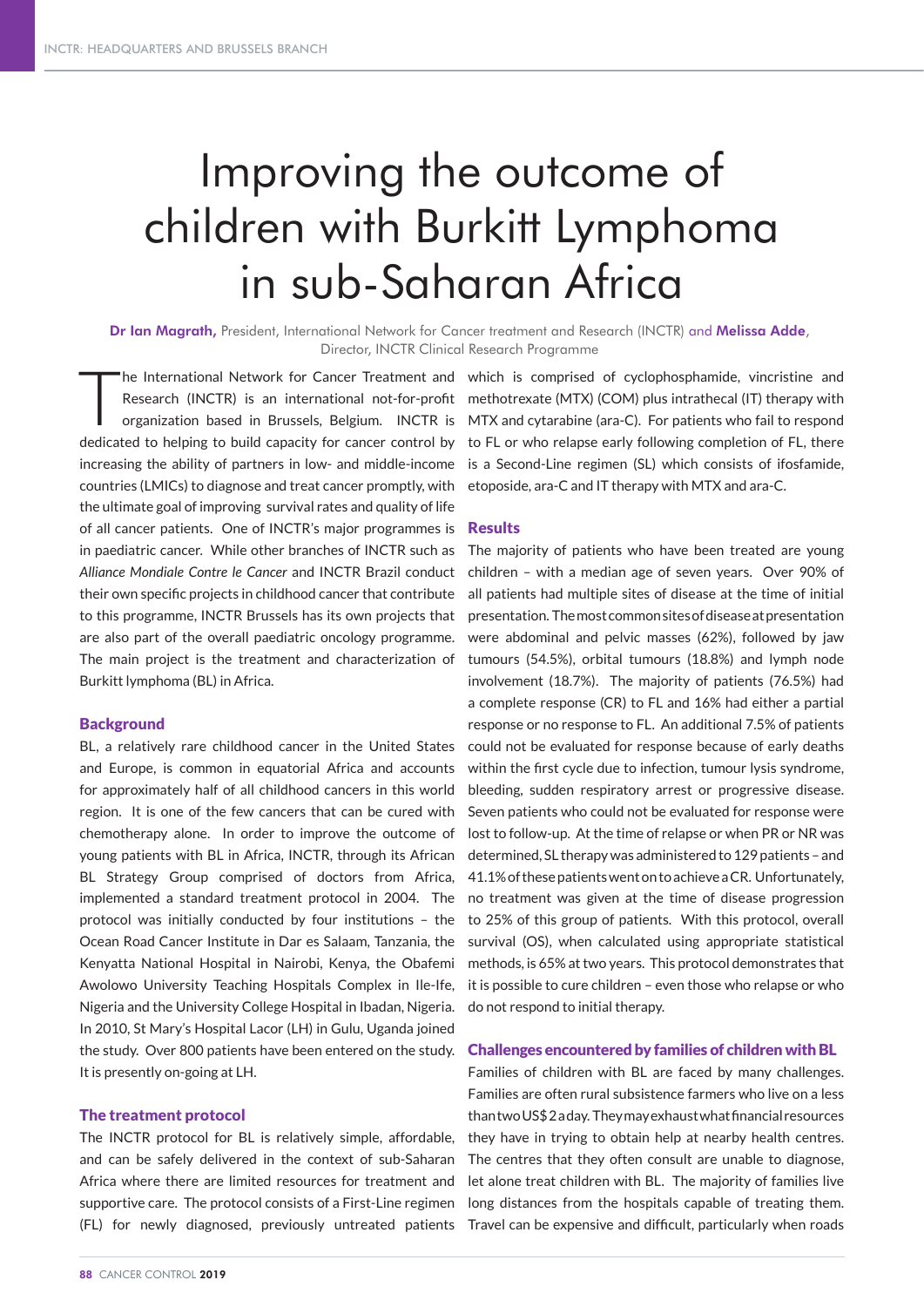# Improving the outcome of children with Burkitt Lymphoma in sub-Saharan Africa

Dr Ian Magrath, President, International Network for Cancer treatment and Research (INCTR) and Melissa Adde, Director, INCTR Clinical Research Programme

The International Network for Cancer Treatment and<br>Research (INCTR) is an international not-for-profit<br>organization based in Brussels, Belgium. INCTR is organization based in Brussels, Belgium. INCTR is increasing the ability of partners in low- and middle-income countries (LMICs) to diagnose and treat cancer promptly, with the ultimate goal of improving survival rates and quality of life of all cancer patients. One of INCTR's major programmes is in paediatric cancer. While other branches of INCTR such as *Alliance Mondiale Contre le Cancer* and INCTR Brazil conduct their own specific projects in childhood cancer that contribute to this programme, INCTR Brussels has its own projects that are also part of the overall paediatric oncology programme. The main project is the treatment and characterization of Burkitt lymphoma (BL) in Africa.

# **Background**

BL, a relatively rare childhood cancer in the United States and Europe, is common in equatorial Africa and accounts for approximately half of all childhood cancers in this world region. It is one of the few cancers that can be cured with chemotherapy alone. In order to improve the outcome of young patients with BL in Africa, INCTR, through its African BL Strategy Group comprised of doctors from Africa, implemented a standard treatment protocol in 2004. The protocol was initially conducted by four institutions – the Ocean Road Cancer Institute in Dar es Salaam, Tanzania, the Kenyatta National Hospital in Nairobi, Kenya, the Obafemi Awolowo University Teaching Hospitals Complex in Ile-Ife, Nigeria and the University College Hospital in Ibadan, Nigeria. In 2010, St Mary's Hospital Lacor (LH) in Gulu, Uganda joined the study. Over 800 patients have been entered on the study. It is presently on-going at LH.

## The treatment protocol

The INCTR protocol for BL is relatively simple, affordable, and can be safely delivered in the context of sub-Saharan Africa where there are limited resources for treatment and supportive care. The protocol consists of a First-Line regimen (FL) for newly diagnosed, previously untreated patients

Research (INCTR) is an international not-for-profit methotrexate (MTX) (COM) plus intrathecal (IT) therapy with dedicated to helping to build capacity for cancer control by to FL or who relapse early following completion of FL, there he International Network for Cancer Treatment and which is comprised of cyclophosphamide, vincristine and MTX and cytarabine (ara-C). For patients who fail to respond is a Second-Line regimen (SL) which consists of ifosfamide, etoposide, ara-C and IT therapy with MTX and ara-C.

#### Results

The majority of patients who have been treated are young children – with a median age of seven years. Over 90% of all patients had multiple sites of disease at the time of initial presentation. The most common sites of disease at presentation were abdominal and pelvic masses (62%), followed by jaw tumours (54.5%), orbital tumours (18.8%) and lymph node involvement (18.7%). The majority of patients (76.5%) had a complete response (CR) to FL and 16% had either a partial response or no response to FL. An additional 7.5% of patients could not be evaluated for response because of early deaths within the first cycle due to infection, tumour lysis syndrome, bleeding, sudden respiratory arrest or progressive disease. Seven patients who could not be evaluated for response were lost to follow-up. At the time of relapse or when PR or NR was determined, SL therapy was administered to 129 patients – and 41.1% of these patients went on to achieve a CR. Unfortunately, no treatment was given at the time of disease progression to 25% of this group of patients. With this protocol, overall survival (OS), when calculated using appropriate statistical methods, is 65% at two years. This protocol demonstrates that it is possible to cure children – even those who relapse or who do not respond to initial therapy.

## Challenges encountered by families of children with BL

Families of children with BL are faced by many challenges. Families are often rural subsistence farmers who live on a less than two US\$ 2 a day. They may exhaust what financial resources they have in trying to obtain help at nearby health centres. The centres that they often consult are unable to diagnose, let alone treat children with BL. The majority of families live long distances from the hospitals capable of treating them. Travel can be expensive and difficult, particularly when roads